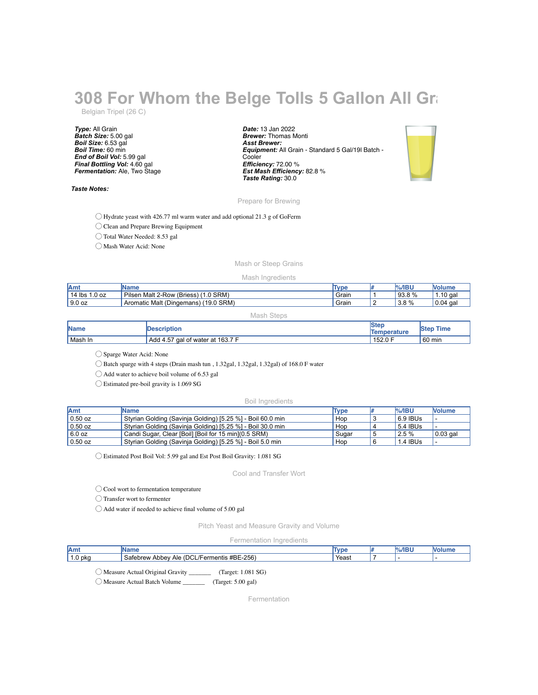# **308 For Whom the Belge Tolls 5 Gallon All Grand**

Belgian Tripel (26 C)

*Type:* All Grain *Batch Size:* 5.00 gal *Boil Size:* 6.53 gal *Boil Time:* 60 min *End of Boil Vol:* 5.99 gal *Final Bottling Vol:* 4.60 gal *Fermentation:* Ale, Two Stage

#### *Taste Notes:*

*Date:* 13 Jan 2022 *Brewer:* Thomas Monti *Asst Brewer: Equipment:* All Grain - Standard 5 Gal/19l Batch - **Cooler** *Efficiency:* 72.00 % *Est Mash Efficiency:* 82.8 % *Taste Rating:* 30.0



## Prepare for Brewing

◯ Hydrate yeast with 426.77 ml warm water and add optional 21.3 g of GoFerm

◯ Clean and Prepare Brewing Equipment

◯ Total Water Needed: 8.53 gal

◯ Mash Water Acid: None

## Mash or Steep Grains

#### Mash Ingredients

| <b>JAmy</b>       | IName                                                 | Type  | .%/IBU      | <b>Volum</b>        |
|-------------------|-------------------------------------------------------|-------|-------------|---------------------|
| $14$ lbs<br>.0 oz | Pilsen<br>$(1.0$ SRM)<br>Malt 2-Row (Briess)          | Grain | 93.8%       | 10 gal<br>и<br>1.IV |
| 9.0 oz            | (19.0 SRM)<br><b>Aromatic Malt (P)</b><br>(Dingemans) | Grain | 3.8%<br>.ა. | 0.04<br>aal         |

#### Mash Steps

| <b>Name</b> | <b>IDescription</b>                    | <b>Ster</b><br>Temperature | <b>Step</b><br>Time |
|-------------|----------------------------------------|----------------------------|---------------------|
| Mash In     | oal of water at 163.7 F<br>Add<br>4.57 | .152.0F                    | $60 \text{ min}$    |

◯ Sparge Water Acid: None

◯ Batch sparge with 4 steps (Drain mash tun , 1.32gal, 1.32gal, 1.32gal) of 168.0 F water

◯ Add water to achieve boil volume of 6.53 gal

◯ Estimated pre-boil gravity is 1.069 SG

### Boil Ingredients

| <b>Amt</b> | <b>IName</b>                                               | Type  | $%$ /IBU   | <b>Nolume</b>    |
|------------|------------------------------------------------------------|-------|------------|------------------|
| $0.50$ oz  | Styrian Golding (Savinja Golding) [5.25 %] - Boil 60.0 min | Hop   | $6.9$ IBUs |                  |
| $0.50$ oz  | Styrian Golding (Savinja Golding) [5.25 %] - Boil 30.0 min | Hop   | 5.4 IBUs   |                  |
| 6.0 oz     | Candi Sugar, Clear [Boil] [Boil for 15 min] (0.5 SRM)      | Sugar | 12.5%      | $\vert$ 0.03 gal |
| $0.50$ oz  | Styrian Golding (Savinja Golding) [5.25 %] - Boil 5.0 min  | Hop   | 1.4 IBUs   | . .              |

◯ Estimated Post Boil Vol: 5.99 gal and Est Post Boil Gravity: 1.081 SG

### Cool and Transfer Wort

◯ Cool wort to fermentation temperature

◯ Transfer wort to fermenter

◯ Add water if needed to achieve final volume of 5.00 gal

Pitch Yeast and Measure Gravity and Volume

### Fermentation Ingredients

| Amt     | "Name                                                                                                                        | Tun   |  |  |
|---------|------------------------------------------------------------------------------------------------------------------------------|-------|--|--|
| 1.0 pko | $-256$<br>$\mathbf{m}$<br>$\overline{\phantom{a}}$<br>Safebrew<br>#BE∙<br>DCL/<br>mentis<br>Ale<br>Abbey<br>eorew<br>س<br>., | Yeast |  |  |
|         |                                                                                                                              |       |  |  |

◯ Measure Actual Original Gravity \_\_\_\_\_\_\_ (Target: 1.081 SG) ◯ Measure Actual Batch Volume \_\_\_\_\_\_\_ (Target: 5.00 gal)

Fermentation